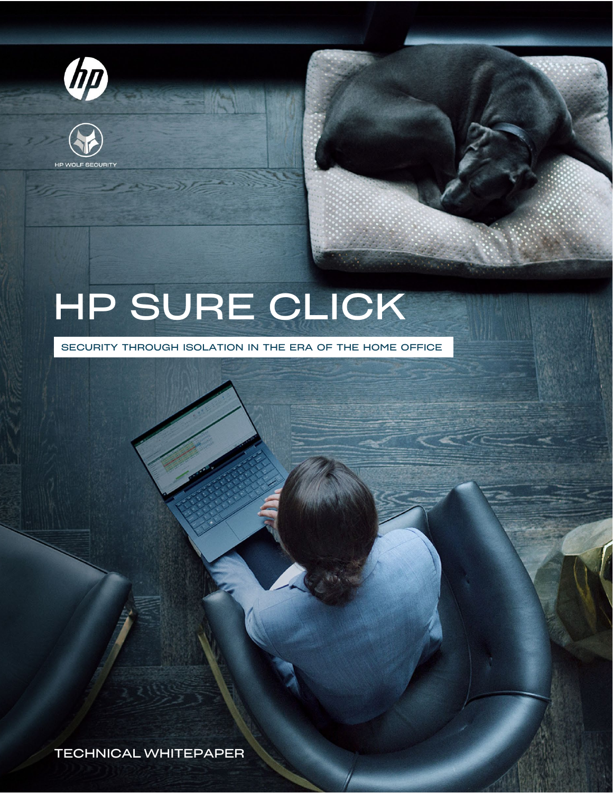



# HP SURE CLICK

SECURITY THROUGH ISOLATION IN THE ERA OF THE HOME OFFICE

TECHNICAL WHITEPAPER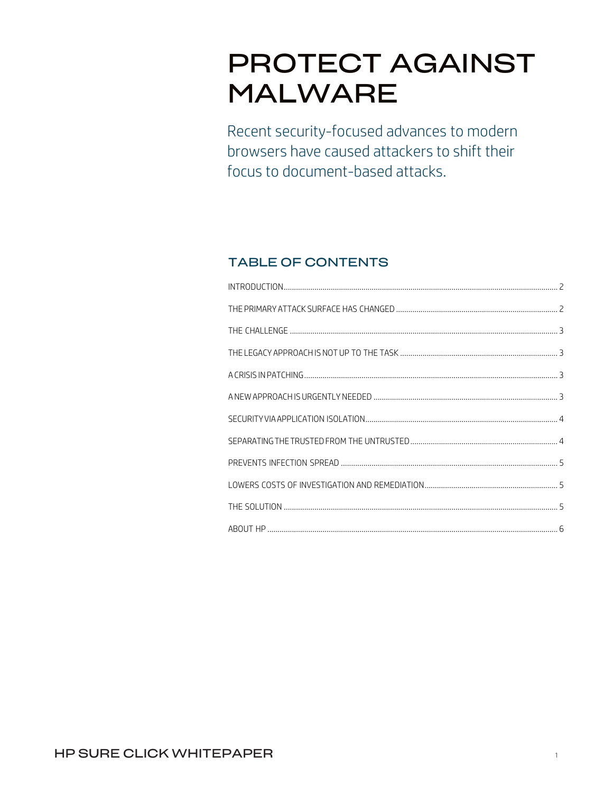# PROTECT AGAINST **MALWARE**

Recent security-focused advances to modern browsers have caused attackers to shift their focus to document-based attacks.

## TABLE OF CONTENTS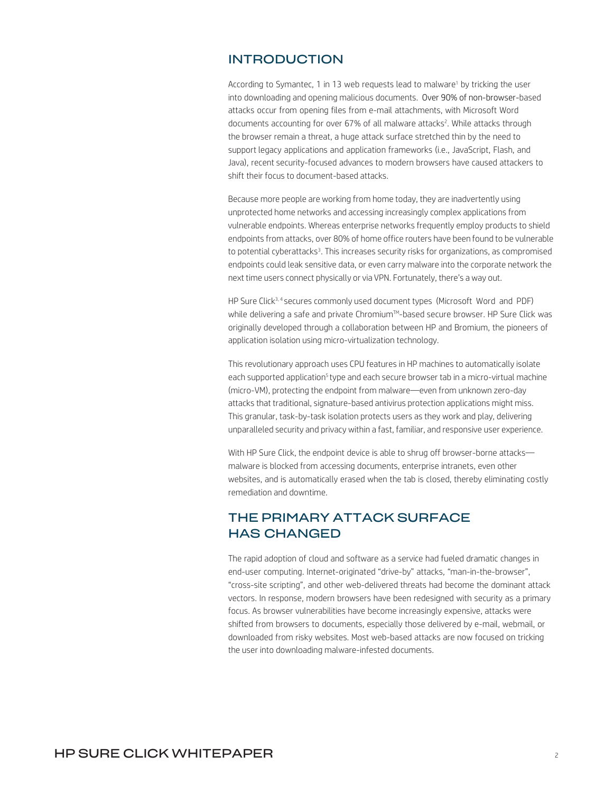#### <span id="page-2-0"></span>INTRODUCTION

According to Symantec, 1 in 13 web requests lead to malware<sup>1</sup> by tricking the user into downloading and opening malicious documents. Over 90% of non-browser-based attacks occur from opening files from e-mail attachments, with Microsoft Word documents accounting for over 67% of all malware attacks<sup>2</sup>. While attacks through the browser remain a threat, a huge attack surface stretched thin by the need to support legacy applications and application frameworks (i.e., JavaScript, Flash, and Java), recent security-focused advances to modern browsers have caused attackers to shift their focus to document-based attacks.

Because more people are working from home today, they are inadvertently using unprotected home networks and accessing increasingly complex applications from vulnerable endpoints. Whereas enterprise networks frequently employ products to shield endpoints from attacks, over 80% of home office routers have been found to be vulnerable to potential cyberattacks<sup>3</sup>. This increases security risks for organizations, as compromised endpoints could leak sensitive data, or even carry malware into the corporate network the next time users connect physically or via VPN. Fortunately, there's a way out.

HP Sure Click3, <sup>4</sup> secures commonly used document types (Microsoft Word and PDF) while delivering a safe and private Chromium™-based secure browser. HP Sure Click was originally developed through a collaboration between HP and Bromium, the pioneers of application isolation using micro-virtualization technology.

This revolutionary approach uses CPU features in HP machines to automatically isolate each supported application<sup>5</sup> type and each secure browser tab in a micro-virtual machine (micro-VM), protecting the endpoint from malware—even from unknown zero-day attacks that traditional, signature-based antivirus protection applications might miss. This granular, task-by-task isolation protects users as they work and play, delivering unparalleled security and privacy within a fast, familiar, and responsive user experience.

With HP Sure Click, the endpoint device is able to shrug off browser-borne attacksmalware is blocked from accessing documents, enterprise intranets, even other websites, and is automatically erased when the tab is closed, thereby eliminating costly remediation and downtime.

#### <span id="page-2-1"></span>THE PRIMARY ATTACK SURFACE HAS CHANGED

The rapid adoption of cloud and software as a service had fueled dramatic changes in end-user computing. Internet-originated "drive-by" attacks, "man-in-the-browser", "cross-site scripting", and other web-delivered threats had become the dominant attack vectors. In response, modern browsers have been redesigned with security as a primary focus. As browser vulnerabilities have become increasingly expensive, attacks were shifted from browsers to documents, especially those delivered by e-mail, webmail, or downloaded from risky websites. Most web-based attacks are now focused on tricking the user into downloading malware-infested documents.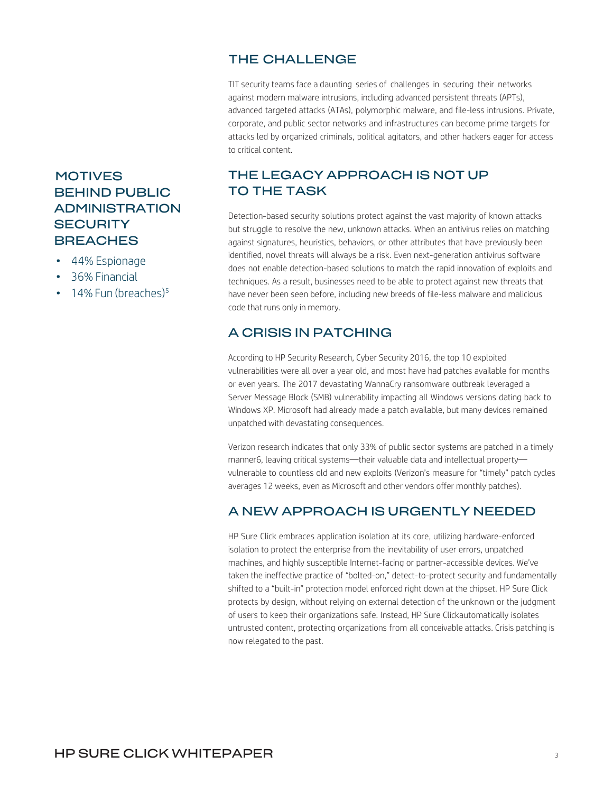#### THE CHALLENGE

TIT security teams face a daunting series of challenges in securing their networks against modern malware intrusions, including advanced persistent threats (APTs), advanced targeted attacks (ATAs), polymorphic malware, and file-less intrusions. Private, corporate, and public sector networks and infrastructures can become prime targets for attacks led by organized criminals, political agitators, and other hackers eager for access to critical content.

# <span id="page-3-1"></span>THE LEGACY APPROACH IS NOT UP TO THE TASK

Detection-based security solutions protect against the vast majority of known attacks but struggle to resolve the new, unknown attacks. When an antivirus relies on matching against signatures, heuristics, behaviors, or other attributes that have previously been identified, novel threats will always be a risk. Even next-generation antivirus software does not enable detection-based solutions to match the rapid innovation of exploits and techniques. As a result, businesses need to be able to protect against new threats that have never been seen before, including new breeds of file-less malware and malicious code that runs only in memory.

# <span id="page-3-2"></span>A CRISIS IN PATCHING

According to HP Security Research, Cyber Security 2016, the top 10 exploited vulnerabilities were all over a year old, and most have had patches available for months or even years. The 2017 devastating WannaCry ransomware outbreak leveraged a Server Message Block (SMB) vulnerability impacting all Windows versions dating back to Windows XP. Microsoft had already made a patch available, but many devices remained unpatched with devastating consequences.

Verizon research indicates that only 33% of public sector systems are patched in a timely manner6, leaving critical systems—their valuable data and intellectual property vulnerable to countless old and new exploits (Verizon's measure for "timely" patch cycles averages 12 weeks, even as Microsoft and other vendors offer monthly patches).

# <span id="page-3-3"></span>A NEW APPROACH IS URGENTLY NEEDED

HP Sure Click embraces application isolation at its core, utilizing hardware-enforced isolation to protect the enterprise from the inevitability of user errors, unpatched machines, and highly susceptible Internet-facing or partner-accessible devices. We've taken the ineffective practice of "bolted-on," detect-to-protect security and fundamentally shifted to a "built-in" protection model enforced right down at the chipset. HP Sure Click protects by design, without relying on external detection of the unknown or the judgment of users to keep their organizations safe. Instead, HP Sure Clickautomatically isolates untrusted content, protecting organizations from all conceivable attacks. Crisis patching is now relegated to the past.

# <span id="page-3-0"></span>**MOTIVES** BEHIND PUBLIC **ADMINISTRATION SECURITY BREACHES**

- 44% Espionage
- 36% Financial
- $\cdot$  14% Fun (breaches)<sup>5</sup>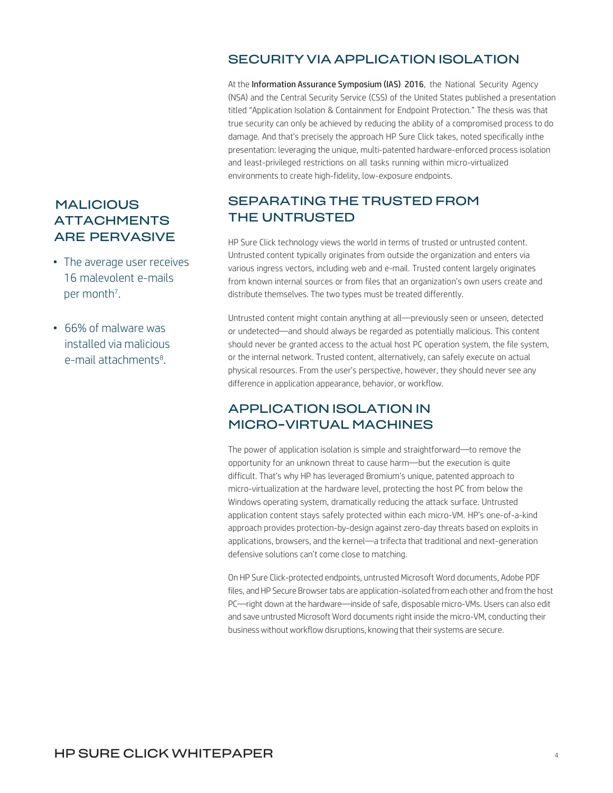#### SECURITY VIA APPLICATION ISOLATION

At the Information Assurance Symposium (IAS) 2016, the National Security Agency (NSA) and the Central Security Service (CSS) of the United States published a presentation titled "Application Isolation & Containment for Endpoint Protection." The thesis was that true security can only be achieved by reducing the ability of a compromised process to do damage. And that's precisely the approach HP Sure Click takes, noted specifically inthe presentation: leveraging the unique, multi-patented hardware-enforced process isolation and least-privileged restrictions on all tasks running within micro-virtualized environments to create high-fidelity, low-exposure endpoints.

#### <span id="page-4-1"></span>SEPARATING THE TRUSTED FROM THE UNTRUSTED

HP Sure Click technology views the world in terms of trusted or untrusted content. Untrusted content typically originates from outside the organization and enters via various ingress vectors, including web and e-mail. Trusted content largely originates from known internal sources or from files that an organization's own users create and distribute themselves. The two types must be treated differently.

Untrusted content might contain anything at all—previously seen or unseen, detected or undetected—and should always be regarded as potentially malicious. This content should never be granted access to the actual host PC operation system, the file system, or the internal network. Trusted content, alternatively, can safely execute on actual physical resources. From the user's perspective, however, they should never see any difference in application appearance, behavior, or workflow.

#### APPLICATION ISOLATION IN MICRO-VIRTUAL MACHINES

The power of application isolation is simple and straightforward—to remove the opportunity for an unknown threat to cause harm—but the execution is quite difficult. That's why HP has leveraged Bromium's unique, patented approach to micro-virtualization at the hardware level, protecting the host PC from below the Windows operating system, dramatically reducing the attack surface. Untrusted application content stays safely protected within each micro-VM. HP's one-of-a-kind approach provides protection-by-design against zero-day threats based on exploits in applications, browsers, and the kernel—a trifecta that traditional and next-generation defensive solutions can't come close to matching.

On HP Sure Click-protected endpoints, untrusted Microsoft Word documents, Adobe PDF files, and HP Secure Browser tabs are application-isolated from each other and from the host PC—right down at the hardware—inside of safe, disposable micro-VMs. Users can also edit and save untrusted Microsoft Word documents right inside the micro-VM, conducting their business without workflow disruptions, knowing that their systems are secure.

## <span id="page-4-0"></span>**MALICIOUS** ATTACHMENTS ARE PERVASIVE

- The average user receives 16 malevolent e-mails per month<sup>7</sup>.
- 66% of malware was installed via malicious e-mail attachments<sup>8</sup>.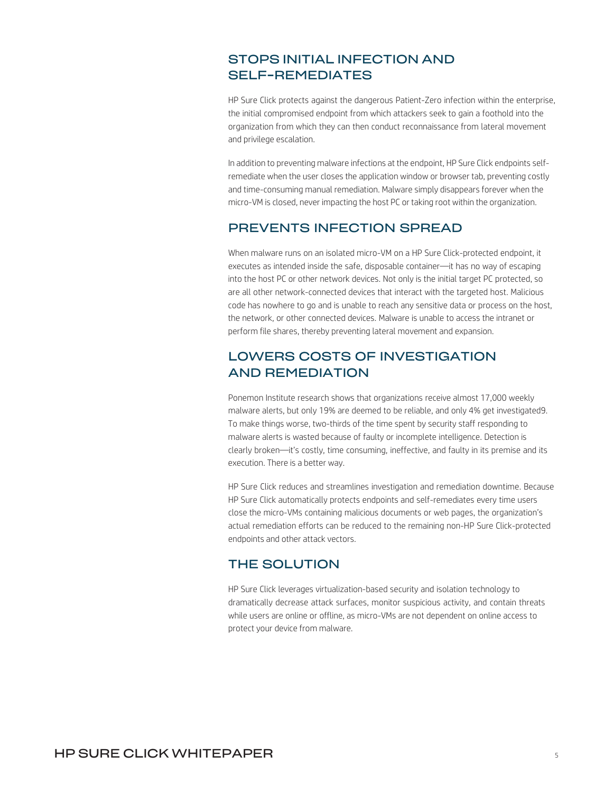#### STOPS INITIAL INFECTION AND SELF-REMEDIATES

HP Sure Click protects against the dangerous Patient-Zero infection within the enterprise, the initial compromised endpoint from which attackers seek to gain a foothold into the organization from which they can then conduct reconnaissance from lateral movement and privilege escalation.

In addition to preventing malware infections at the endpoint, HP Sure Click endpoints selfremediate when the user closes the application window or browser tab, preventing costly and time-consuming manual remediation. Malware simply disappears forever when the micro-VM is closed, never impacting the host PC or taking root within the organization.

#### <span id="page-5-0"></span>PREVENTS INFECTION SPREAD

When malware runs on an isolated micro-VM on a HP Sure Click-protected endpoint, it executes as intended inside the safe, disposable container—it has no way of escaping into the host PC or other network devices. Not only is the initial target PC protected, so are all other network-connected devices that interact with the targeted host. Malicious code has nowhere to go and is unable to reach any sensitive data or process on the host, the network, or other connected devices. Malware is unable to access the intranet or perform file shares, thereby preventing lateral movement and expansion.

#### <span id="page-5-1"></span>LOWERS COSTS OF INVESTIGATION AND REMEDIATION

Ponemon Institute research shows that organizations receive almost 17,000 weekly malware alerts, but only 19% are deemed to be reliable, and only 4% get investigated9. To make things worse, two-thirds of the time spent by security staff responding to malware alerts is wasted because of faulty or incomplete intelligence. Detection is clearly broken—it's costly, time consuming, ineffective, and faulty in its premise and its execution. There is a better way.

HP Sure Click reduces and streamlines investigation and remediation downtime. Because HP Sure Click automatically protects endpoints and self-remediates every time users close the micro-VMs containing malicious documents or web pages, the organization's actual remediation efforts can be reduced to the remaining non-HP Sure Click-protected endpoints and other attack vectors.

#### <span id="page-5-2"></span>THE SOLUTION

HP Sure Click leverages virtualization-based security and isolation technology to dramatically decrease attack surfaces, monitor suspicious activity, and contain threats while users are online or offline, as micro-VMs are not dependent on online access to protect your device from malware.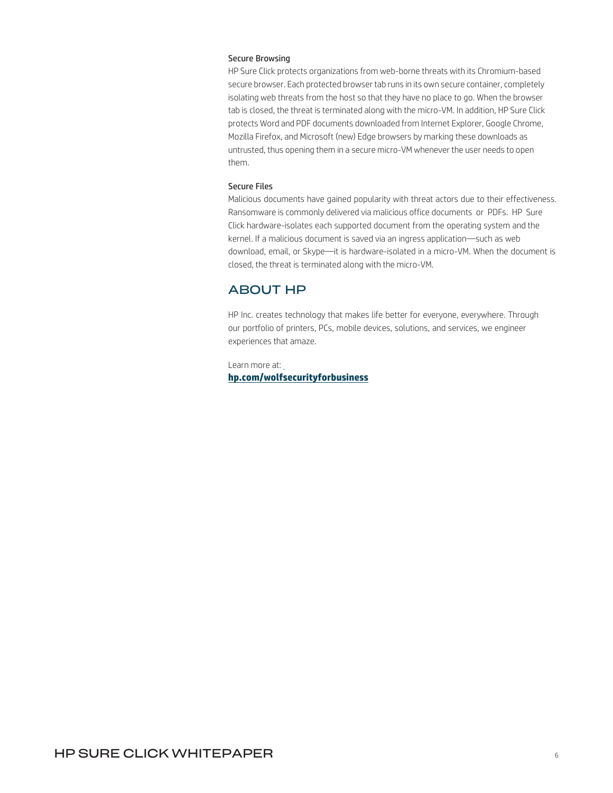#### Secure Browsing

HP Sure Click protects organizations from web-borne threats with its Chromium-based secure browser. Each protected browser tab runs in its own secure container, completely isolating web threats from the host so that they have no place to go. When the browser tab is closed, the threat is terminated along with the micro-VM. In addition, HP Sure Click protects Word and PDF documents downloaded from Internet Explorer, Google Chrome, Mozilla Firefox, and Microsoft (new) Edge browsers by marking these downloads as untrusted, thus opening them in a secure micro-VM whenever the user needs to open them.

#### Secure Files

Malicious documents have gained popularity with threat actors due to their effectiveness. Ransomware is commonly delivered via malicious office documents or PDFs. HP Sure Click hardware-isolates each supported document from the operating system and the kernel. If a malicious document is saved via an ingress application—such as web download, email, or Skype—it is hardware-isolated in a micro-VM. When the document is closed, the threat is terminated along with the micro-VM.

#### <span id="page-6-0"></span>ABOUT HP

HP Inc. creates technology that makes life better for everyone, everywhere. Through our portfolio of printers, PCs, mobile devices, solutions, and services, we engineer experiences that amaze.

#### Learn more at: **hp.com/wolfsecurityforbusiness**